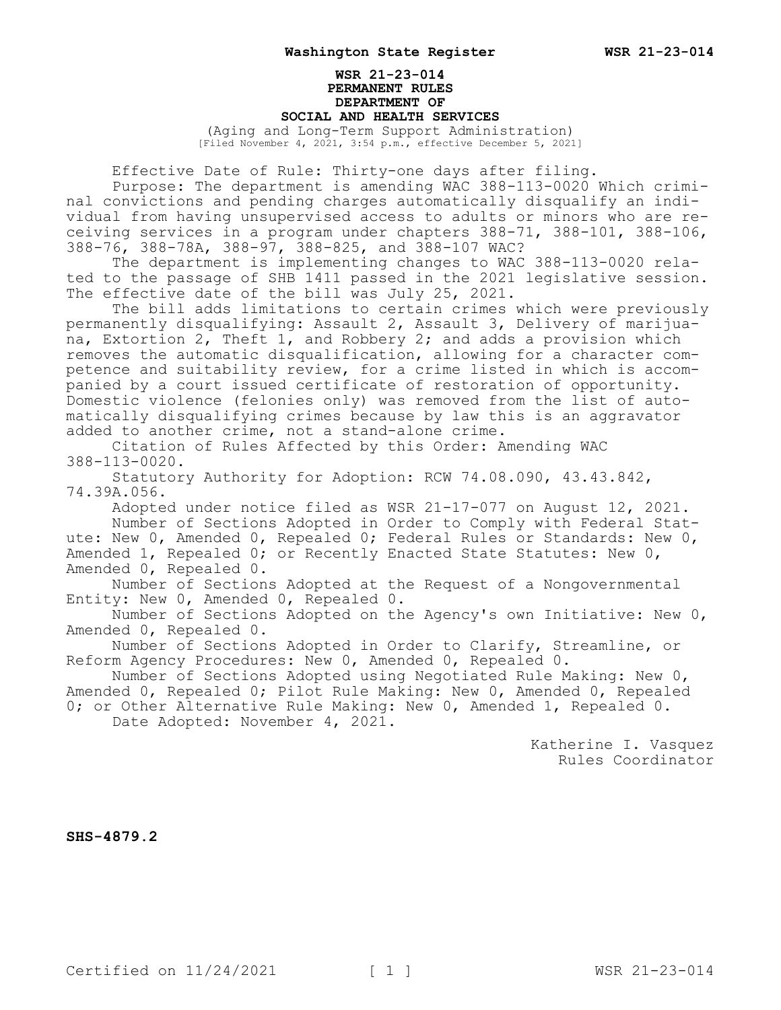## **WSR 21-23-014 PERMANENT RULES DEPARTMENT OF SOCIAL AND HEALTH SERVICES**

(Aging and Long-Term Support Administration) [Filed November 4, 2021, 3:54 p.m., effective December 5, 2021]

Effective Date of Rule: Thirty-one days after filing.

Purpose: The department is amending WAC 388-113-0020 Which criminal convictions and pending charges automatically disqualify an individual from having unsupervised access to adults or minors who are receiving services in a program under chapters 388-71, 388-101, 388-106, 388-76, 388-78A, 388-97, 388-825, and 388-107 WAC?

The department is implementing changes to WAC 388-113-0020 related to the passage of SHB 1411 passed in the 2021 legislative session. The effective date of the bill was July 25, 2021.

The bill adds limitations to certain crimes which were previously permanently disqualifying: Assault 2, Assault 3, Delivery of marijuana, Extortion 2, Theft 1, and Robbery 2; and adds a provision which removes the automatic disqualification, allowing for a character competence and suitability review, for a crime listed in which is accompanied by a court issued certificate of restoration of opportunity. Domestic violence (felonies only) was removed from the list of automatically disqualifying crimes because by law this is an aggravator added to another crime, not a stand-alone crime.

Citation of Rules Affected by this Order: Amending WAC 388-113-0020.

Statutory Authority for Adoption: RCW 74.08.090, 43.43.842, 74.39A.056.

Adopted under notice filed as WSR 21-17-077 on August 12, 2021. Number of Sections Adopted in Order to Comply with Federal Statute: New 0, Amended 0, Repealed 0; Federal Rules or Standards: New 0,

Amended 1, Repealed 0; or Recently Enacted State Statutes: New 0, Amended 0, Repealed 0.

Number of Sections Adopted at the Request of a Nongovernmental Entity: New 0, Amended 0, Repealed 0.

Number of Sections Adopted on the Agency's own Initiative: New 0, Amended 0, Repealed 0.

Number of Sections Adopted in Order to Clarify, Streamline, or Reform Agency Procedures: New 0, Amended 0, Repealed 0.

Number of Sections Adopted using Negotiated Rule Making: New 0, Amended 0, Repealed 0; Pilot Rule Making: New 0, Amended 0, Repealed

0; or Other Alternative Rule Making: New 0, Amended 1, Repealed 0. Date Adopted: November 4, 2021.

> Katherine I. Vasquez Rules Coordinator

**SHS-4879.2**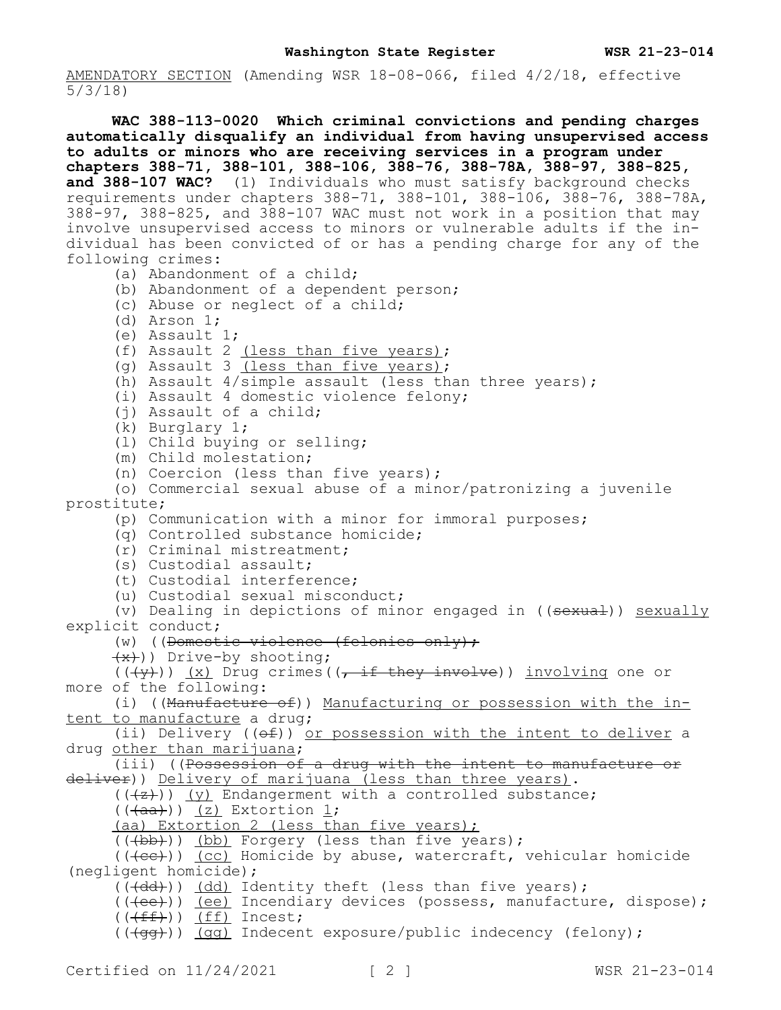AMENDATORY SECTION (Amending WSR 18-08-066, filed 4/2/18, effective 5/3/18)

**WAC 388-113-0020 Which criminal convictions and pending charges automatically disqualify an individual from having unsupervised access to adults or minors who are receiving services in a program under chapters 388-71, 388-101, 388-106, 388-76, 388-78A, 388-97, 388-825,**  and 388-107 WAC? (1) Individuals who must satisfy background checks requirements under chapters 388-71, 388-101, 388-106, 388-76, 388-78A, 388-97, 388-825, and 388-107 WAC must not work in a position that may involve unsupervised access to minors or vulnerable adults if the individual has been convicted of or has a pending charge for any of the following crimes: (a) Abandonment of a child; (b) Abandonment of a dependent person; (c) Abuse or neglect of a child; (d) Arson 1; (e) Assault 1; (f) Assault 2 (less than five years); (g) Assault 3 (less than five years); (h) Assault  $4/\text{simple}$  assault (less than three years); (i) Assault 4 domestic violence felony; (j) Assault of a child; (k) Burglary 1; (l) Child buying or selling; (m) Child molestation; (n) Coercion (less than five years); (o) Commercial sexual abuse of a minor/patronizing a juvenile prostitute; (p) Communication with a minor for immoral purposes; (q) Controlled substance homicide; (r) Criminal mistreatment; (s) Custodial assault; (t) Custodial interference; (u) Custodial sexual misconduct; (v) Dealing in depictions of minor engaged in ((sexual)) sexually explicit conduct; (w) ((Domestic violence (felonies only);  $(x)$ )) Drive-by shooting;  $((\langle \overline{\nu} \rangle) )$  (x) Drug crimes( $(\overline{\tau} \pm \overline{\tau})$  they involve)) involving one or more of the following: (i) ((Manufacture of)) Manufacturing or possession with the intent to manufacture a drug; (ii) Delivery  $((e f))$  or possession with the intent to deliver a drug other than marijuana; (iii) ((Possession of a drug with the intent to manufacture or deliver)) Delivery of marijuana (less than three years).  $((+z))$  (y) Endangerment with a controlled substance;  $((\overline{+aa}))(z)$  Extortion 1; (aa) Extortion 2 (less than five years); (((bb))) (bb) Forgery (less than five years);  $((+ee))$  (cc) Homicide by abuse, watercraft, vehicular homicide (negligent homicide); (((dd))) (dd) Identity theft (less than five years); (((ee))) (ee) Incendiary devices (possess, manufacture, dispose);  $((\text{eff}))$  (ff) Incest;  $((\overline{qq})$ ) (qq) Indecent exposure/public indecency (felony);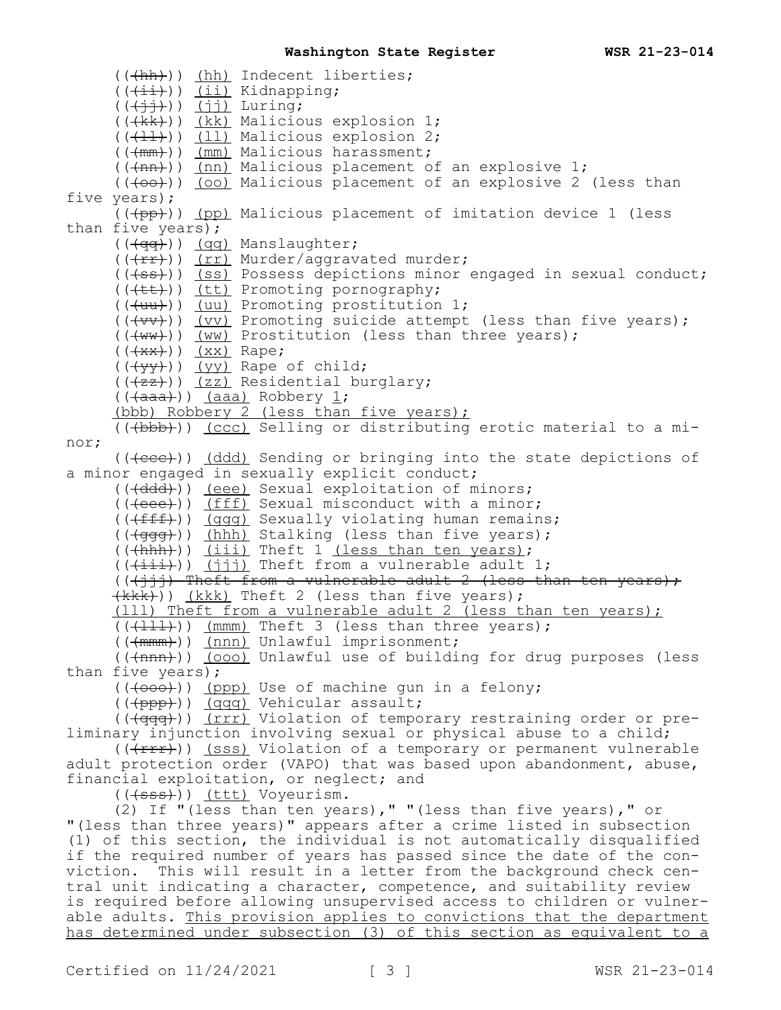(((hh))) (hh) Indecent liberties;  $((\overrightarrow{+i})\overrightarrow{ (ii)}$  Kidnapping;  $((\n\digamma)(\nabla)(\nabla)(\nabla)(\nabla)(\nabla)\nabla)\nabla^{\mu}$ (((kk))) (kk) Malicious explosion 1;  $((+11))$   $(11)$  Malicious explosion 2; (((mm))) (mm) Malicious harassment;  $((+nn))$  (nn) Malicious placement of an explosive 1;  $((+o+))$  (oo) Malicious placement of an explosive 2 (less than five years);  $($ ( $($  $($  $p$  $p$  $)$ ) ( $p$  $p$ ) Malicious placement of imitation device 1 (less than five years); (( $\frac{q}{q}$ )) (qq) Manslaughter; (((fr))) (rr) Murder/aggravated murder; (((ss))) (ss) Possess depictions minor engaged in sexual conduct; (((tt))) (tt) Promoting pornography; (((uu))) (uu) Promoting prostitution 1;  $((+vv))$  (vv) Promoting suicide attempt (less than five years);  $((+ww))$  (ww) Prostitution (less than three years);  $((+x^{*}))( x^{*})$  Rape;  $((\{yy\})$ ) (yy) Rape of child; (((+zz))) (zz) Residential burglary;  $((\{a, a\})\)$  (aaa) Robbery  $\underline{1};$ (bbb) Robbery 2 (less than five years); (((bbb))) (ccc) Selling or distributing erotic material to a minor;  $((\text{(\text{see})}))$  (ddd) Sending or bringing into the state depictions of a minor engaged in sexually explicit conduct; (( $\text{(\text{ddd})}$ ) (eee) Sexual exploitation of minors; (((eee))) (fff) Sexual misconduct with a minor; (((fff))) (ggg) Sexually violating human remains; (( $\frac{q}{q}($ )) (hhh) Stalking (less than five years); (((+hhh))) (iii) Theft 1 (less than ten years);  $((+i\texttt{i}))(j\texttt{j})$  Theft from a vulnerable adult 1;  $((\{\dagger\}\dagger\dagger)$  Theft from a vulnerable adult 2 (less than ten years);  $(kk)$ ) (kkk) Theft 2 (less than five years); (111) Theft from a vulnerable adult 2 (less than ten years);  $((+111))$  (mmm) Theft 3 (less than three years); (((mmm))) (nnn) Unlawful imprisonment; (((nnn))) (000) Unlawful use of building for drug purposes (less than five years); (((000))) (ppp) Use of machine gun in a felony; (((ppp))) (qqq) Vehicular assault; (( $\frac{q}{q+q+1}$ )) (rrr) Violation of temporary restraining order or preliminary injunction involving sexual or physical abuse to a child; (((Frr)) (sss) Violation of a temporary or permanent vulnerable adult protection order (VAPO) that was based upon abandonment, abuse, financial exploitation, or neglect; and (((sss))) (ttt) Voyeurism. (2) If "(less than ten years)," "(less than five years)," or "(less than three years)" appears after a crime listed in subsection (1) of this section, the individual is not automatically disqualified if the required number of years has passed since the date of the conviction. This will result in a letter from the background check central unit indicating a character, competence, and suitability review is required before allowing unsupervised access to children or vulnerable adults. This provision applies to convictions that the department has determined under subsection (3) of this section as equivalent to a